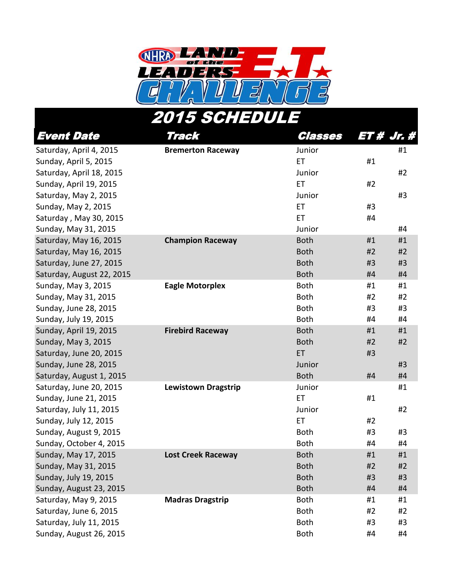

## Event Date Track Classes ET # Jr. # Saturday, April 4, 2015 **Bremerton Raceway** Junior **Bremerton Raceway Junior H**1 Sunday, April 5, 2015 **ET** #1 Saturday, April 18, 2015 **Accord Accord Accord Accord Accord Accord Accord Accord Accord Accord Accord Accord Accord Accord Accord Accord Accord Accord Accord Accord Accord Accord Accord Accord Accord Accord Accord Accord** Sunday, April 19, 2015 **ET** #2 Saturday, May 2, 2015 **And Accord 2018** Saturday, May 2, 2015 Sunday, May 2, 2015 **ET** #3 Saturday , May 30, 2015 **ET** 44 Sunday, May 31, 2015 **And Accord 2018** Sunday, May 31, 2015 **And Accord 2018** Tunior **44** Saturday, May 16, 2015 **Champion Raceway** Both #1 #1 #1 Saturday, May 16, 2015 **Both 2018** Both #2 #2 Saturday, June 27, 2015 Both #3 #3 Saturday, August 22, 2015 Both #4 #4 Sunday, May 3, 2015 **Eagle Motorplex** Both #1 #1 #1 Sunday, May 31, 2015 **Both** #2 #2 Sunday, June 28, 2015 **Both** #3 #3 Sunday, July 19, 2015 **Both** #4 **#4**  $\#4$  #4 **#4**  $\#4$ Sunday, April 19, 2015 **Firebird Raceway** Both #1 #1 #1 Sunday, May 3, 2015 **Both #2** #2 Saturday, June 20, 2015 **ET EXAMPLE 20, 2016** Sunday, June 28, 2015 **And Accord 28, 2016 And Accord 20, 2016 Junior And Accord 20, 2016 A**  $\sharp$ 3 Saturday, August 1, 2015 Both #4 #4 Saturday, June 20, 2015 **Lewistown Dragstrip Junior Latter and Handberry and Handberry Additional Handberry Additional Handberry Additional Handberry Additional Handberry Additional Handberry Additional Handberry Addit** Sunday, June 21, 2015 **ET** #1 Saturday, July 11, 2015 Junior #2 Sunday, July 12, 2015 **ET** #2 Sunday, August 9, 2015 Both #3 #3 Sunday, October 4, 2015 Both #4 #4 Sunday, May 17, 2015 **Lost Creek Raceway Both #1 #1** #1 Sunday, May 31, 2015  $\overline{a}$  and  $\overline{a}$  and  $\overline{a}$  and  $\overline{a}$  and  $\overline{a}$  and  $\overline{a}$  and  $\overline{a}$  and  $\overline{a}$  and  $\overline{a}$  and  $\overline{a}$  and  $\overline{a}$  and  $\overline{a}$  and  $\overline{a}$  and  $\overline{a}$  and  $\overline{a}$  and  $\overline{$ 2015 SCHEDU

Sunday, July 19, 2015 **Both #3** #3 Sunday, August 23, 2015 **Both #4**  $#4$  #4  $#4$ Saturday, May 9, 2015 **Madras Dragstrip** Both #1 #1 #1 Saturday, June 6, 2015 **Both** #2 #2 Saturday, July 11, 2015 **Both** #3 #3 #3 Sunday, August 26, 2015 Both #4 #4